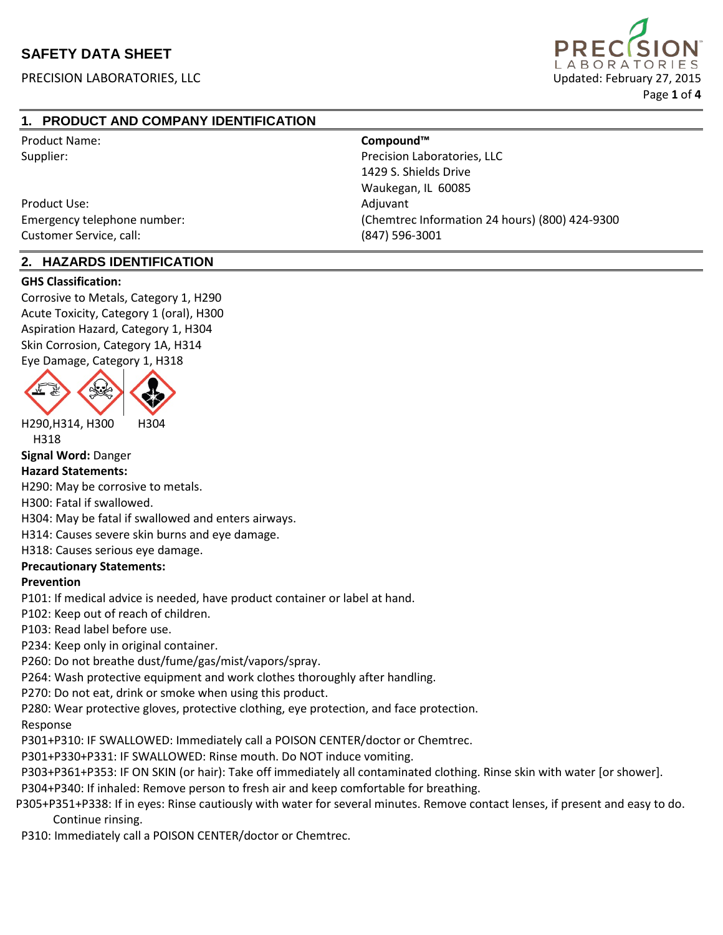PRECISION LABORATORIES, LLC **EXECUTE EN EXECUTE EN EXECUTE EN EL ENTRE EN EL EL ENTRE EN EL EL ENTRE EN EL ENTRE EN EL ENTRE EN EL ENTRE EN EL ENTRE EN EL ENTRE EN EL ENTRE EN EL ENTRE EN EL ENTRE EN EL ENTRE EN EL ENTRE E** 



# **1. PRODUCT AND COMPANY IDENTIFICATION**

| <b>Product Name:</b>        | Compound™                                      |
|-----------------------------|------------------------------------------------|
| Supplier:                   | Precision Laboratories, LLC                    |
|                             | 1429 S. Shields Drive                          |
|                             | Waukegan, IL 60085                             |
| Product Use:                | Adjuvant                                       |
| Emergency telephone number: | (Chemtrec Information 24 hours) (800) 424-9300 |
| Customer Service, call:     | $(847)$ 596-3001                               |

### **2. HAZARDS IDENTIFICATION**

#### **GHS Classification:**

Corrosive to Metals, Category 1, H290 Acute Toxicity, Category 1 (oral), H300 Aspiration Hazard, Category 1, H304 Skin Corrosion, Category 1A, H314 Eye Damage, Category 1, H318



H290,H314, H300 H304

H318

**Signal Word:** Danger

#### **Hazard Statements:**

H290: May be corrosive to metals.

H300: Fatal if swallowed.

H304: May be fatal if swallowed and enters airways.

H314: Causes severe skin burns and eye damage.

H318: Causes serious eye damage.

#### **Precautionary Statements:**

#### **Prevention**

P101: If medical advice is needed, have product container or label at hand.

P102: Keep out of reach of children.

P103: Read label before use.

P234: Keep only in original container.

P260: Do not breathe dust/fume/gas/mist/vapors/spray.

P264: Wash protective equipment and work clothes thoroughly after handling.

P270: Do not eat, drink or smoke when using this product.

P280: Wear protective gloves, protective clothing, eye protection, and face protection.

Response

P301+P310: IF SWALLOWED: Immediately call a POISON CENTER/doctor or Chemtrec.

P301+P330+P331: IF SWALLOWED: Rinse mouth. Do NOT induce vomiting.

P303+P361+P353: IF ON SKIN (or hair): Take off immediately all contaminated clothing. Rinse skin with water [or shower].

P304+P340: If inhaled: Remove person to fresh air and keep comfortable for breathing.

P305+P351+P338: If in eyes: Rinse cautiously with water for several minutes. Remove contact lenses, if present and easy to do. Continue rinsing.

P310: Immediately call a POISON CENTER/doctor or Chemtrec.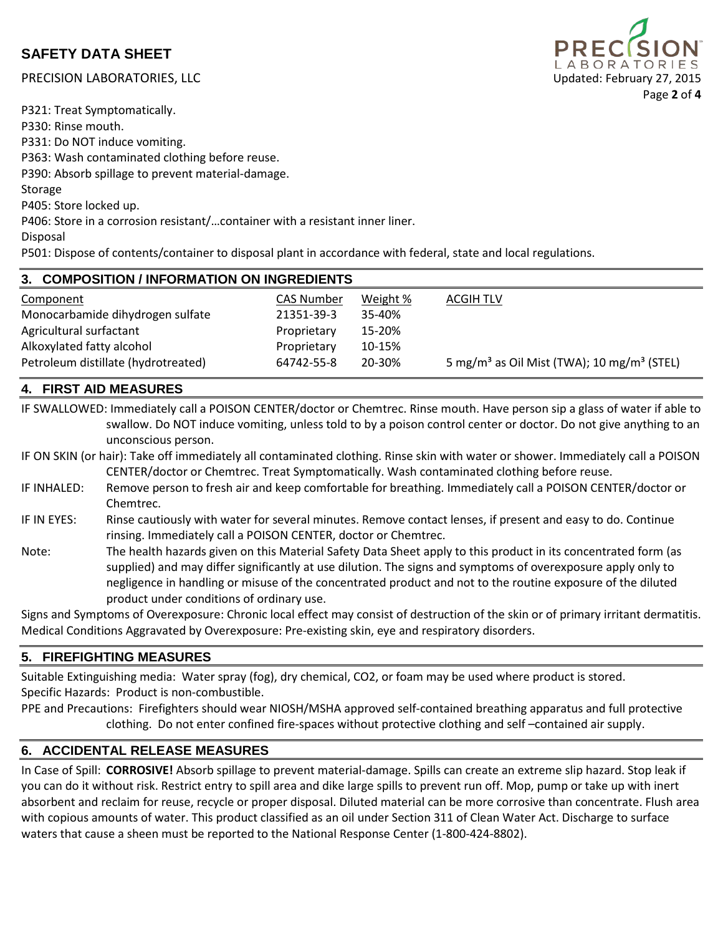# PRECISION LABORATORIES, LLC **Exercision Control Control Control Control Control Control Control Control Control Control Control Control Control Control Control Control Control Control Control Control Control Control Contro**

ABORAT Page **2** of **4**

P321: Treat Symptomatically. P330: Rinse mouth. P331: Do NOT induce vomiting. P363: Wash contaminated clothing before reuse. P390: Absorb spillage to prevent material-damage. Storage P405: Store locked up.

P406: Store in a corrosion resistant/…container with a resistant inner liner.

Disposal

P501: Dispose of contents/container to disposal plant in accordance with federal, state and local regulations.

| 3. COMPOSITION / INFORMATION ON INGREDIENTS |                   |          |                                                                    |  |
|---------------------------------------------|-------------------|----------|--------------------------------------------------------------------|--|
| Component                                   | <b>CAS Number</b> | Weight % | ACGIH TLV                                                          |  |
| Monocarbamide dihydrogen sulfate            | 21351-39-3        | 35-40%   |                                                                    |  |
| Agricultural surfactant                     | Proprietary       | 15-20%   |                                                                    |  |
| Alkoxylated fatty alcohol                   | Proprietary       | 10-15%   |                                                                    |  |
| Petroleum distillate (hydrotreated)         | 64742-55-8        | 20-30%   | 5 mg/m <sup>3</sup> as Oil Mist (TWA); 10 mg/m <sup>3</sup> (STEL) |  |

# **4. FIRST AID MEASURES**

IF SWALLOWED: Immediately call a POISON CENTER/doctor or Chemtrec. Rinse mouth. Have person sip a glass of water if able to swallow. Do NOT induce vomiting, unless told to by a poison control center or doctor. Do not give anything to an unconscious person.

IF ON SKIN (or hair): Take off immediately all contaminated clothing. Rinse skin with water or shower. Immediately call a POISON CENTER/doctor or Chemtrec. Treat Symptomatically. Wash contaminated clothing before reuse.

- IF INHALED: Remove person to fresh air and keep comfortable for breathing. Immediately call a POISON CENTER/doctor or Chemtrec.
- IF IN EYES: Rinse cautiously with water for several minutes. Remove contact lenses, if present and easy to do. Continue rinsing. Immediately call a POISON CENTER, doctor or Chemtrec.
- Note: The health hazards given on this Material Safety Data Sheet apply to this product in its concentrated form (as supplied) and may differ significantly at use dilution. The signs and symptoms of overexposure apply only to negligence in handling or misuse of the concentrated product and not to the routine exposure of the diluted product under conditions of ordinary use.

Signs and Symptoms of Overexposure: Chronic local effect may consist of destruction of the skin or of primary irritant dermatitis. Medical Conditions Aggravated by Overexposure: Pre-existing skin, eye and respiratory disorders.

## **5. FIREFIGHTING MEASURES**

Suitable Extinguishing media: Water spray (fog), dry chemical, CO2, or foam may be used where product is stored. Specific Hazards: Product is non-combustible.

PPE and Precautions: Firefighters should wear NIOSH/MSHA approved self-contained breathing apparatus and full protective clothing. Do not enter confined fire-spaces without protective clothing and self –contained air supply.

## **6. ACCIDENTAL RELEASE MEASURES**

In Case of Spill: **CORROSIVE!** Absorb spillage to prevent material-damage. Spills can create an extreme slip hazard. Stop leak if you can do it without risk. Restrict entry to spill area and dike large spills to prevent run off. Mop, pump or take up with inert absorbent and reclaim for reuse, recycle or proper disposal. Diluted material can be more corrosive than concentrate. Flush area with copious amounts of water. This product classified as an oil under Section 311 of Clean Water Act. Discharge to surface waters that cause a sheen must be reported to the National Response Center (1-800-424-8802).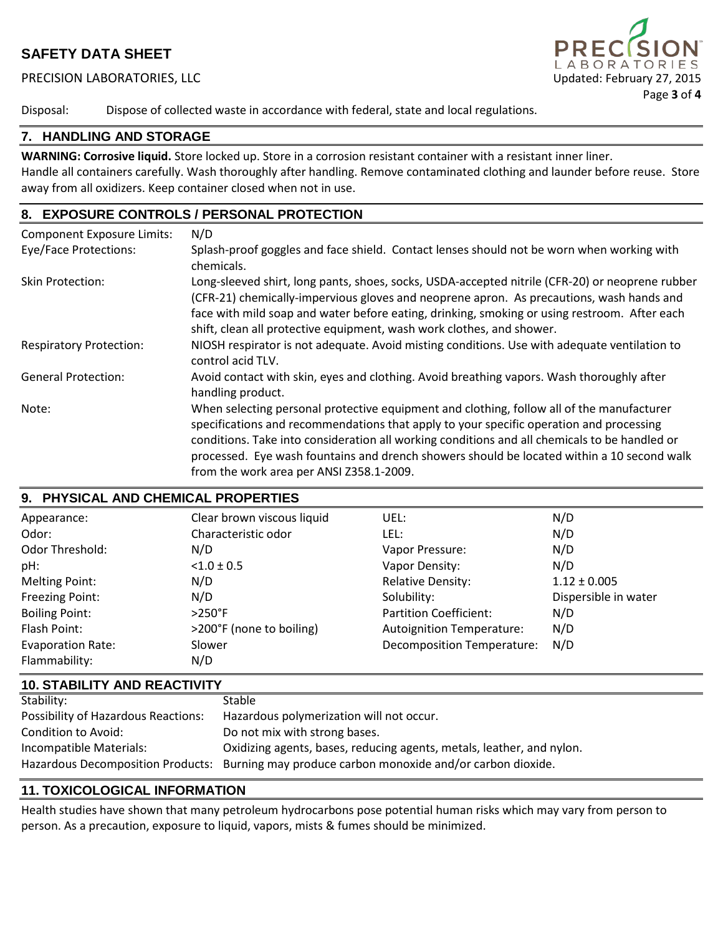### PRECISION LABORATORIES, LLC 
Updated: February 27, 2015



Disposal: Dispose of collected waste in accordance with federal, state and local regulations.

### **7. HANDLING AND STORAGE**

**WARNING: Corrosive liquid.** Store locked up. Store in a corrosion resistant container with a resistant inner liner. Handle all containers carefully. Wash thoroughly after handling. Remove contaminated clothing and launder before reuse. Store away from all oxidizers. Keep container closed when not in use.

## **8. EXPOSURE CONTROLS / PERSONAL PROTECTION**

| <b>Component Exposure Limits:</b> | N/D                                                                                                                                                                                                                                                                                                                                                                                                                             |
|-----------------------------------|---------------------------------------------------------------------------------------------------------------------------------------------------------------------------------------------------------------------------------------------------------------------------------------------------------------------------------------------------------------------------------------------------------------------------------|
| Eye/Face Protections:             | Splash-proof goggles and face shield. Contact lenses should not be worn when working with<br>chemicals.                                                                                                                                                                                                                                                                                                                         |
| Skin Protection:                  | Long-sleeved shirt, long pants, shoes, socks, USDA-accepted nitrile (CFR-20) or neoprene rubber<br>(CFR-21) chemically-impervious gloves and neoprene apron. As precautions, wash hands and<br>face with mild soap and water before eating, drinking, smoking or using restroom. After each<br>shift, clean all protective equipment, wash work clothes, and shower.                                                            |
| <b>Respiratory Protection:</b>    | NIOSH respirator is not adequate. Avoid misting conditions. Use with adequate ventilation to<br>control acid TLV.                                                                                                                                                                                                                                                                                                               |
| <b>General Protection:</b>        | Avoid contact with skin, eyes and clothing. Avoid breathing vapors. Wash thoroughly after<br>handling product.                                                                                                                                                                                                                                                                                                                  |
| Note:                             | When selecting personal protective equipment and clothing, follow all of the manufacturer<br>specifications and recommendations that apply to your specific operation and processing<br>conditions. Take into consideration all working conditions and all chemicals to be handled or<br>processed. Eye wash fountains and drench showers should be located within a 10 second walk<br>from the work area per ANSI Z358.1-2009. |

## **9. PHYSICAL AND CHEMICAL PROPERTIES**

| Appearance:              | Clear brown viscous liquid | UEL:                              | N/D                  |
|--------------------------|----------------------------|-----------------------------------|----------------------|
| Odor:                    | Characteristic odor        | LEL:                              | N/D                  |
| Odor Threshold:          | N/D                        | Vapor Pressure:                   | N/D                  |
| pH:                      | $< 1.0 \pm 0.5$            | Vapor Density:                    | N/D                  |
| <b>Melting Point:</b>    | N/D                        | <b>Relative Density:</b>          | $1.12 \pm 0.005$     |
| Freezing Point:          | N/D                        | Solubility:                       | Dispersible in water |
| <b>Boiling Point:</b>    | $>250^{\circ}$ F           | Partition Coefficient:            | N/D                  |
| Flash Point:             | >200°F (none to boiling)   | <b>Autoignition Temperature:</b>  | N/D                  |
| <b>Evaporation Rate:</b> | Slower                     | <b>Decomposition Temperature:</b> | N/D                  |
| Flammability:            | N/D                        |                                   |                      |

### **10. STABILITY AND REACTIVITY**

| Stability:                                 | Stable                                                                                       |
|--------------------------------------------|----------------------------------------------------------------------------------------------|
| <b>Possibility of Hazardous Reactions:</b> | Hazardous polymerization will not occur.                                                     |
| Condition to Avoid:                        | Do not mix with strong bases.                                                                |
| Incompatible Materials:                    | Oxidizing agents, bases, reducing agents, metals, leather, and nylon.                        |
|                                            | Hazardous Decomposition Products: Burning may produce carbon monoxide and/or carbon dioxide. |

#### **11. TOXICOLOGICAL INFORMATION**

Health studies have shown that many petroleum hydrocarbons pose potential human risks which may vary from person to person. As a precaution, exposure to liquid, vapors, mists & fumes should be minimized.